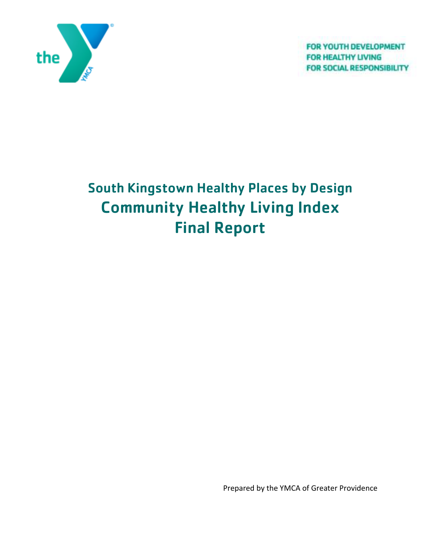

FOR YOUTH DEVELOPMENT **FOR HEALTHY LIVING FOR SOCIAL RESPONSIBILITY** 

# South Kingstown Healthy Places by Design Community Healthy Living Index Final Report

Prepared by the YMCA of Greater Providence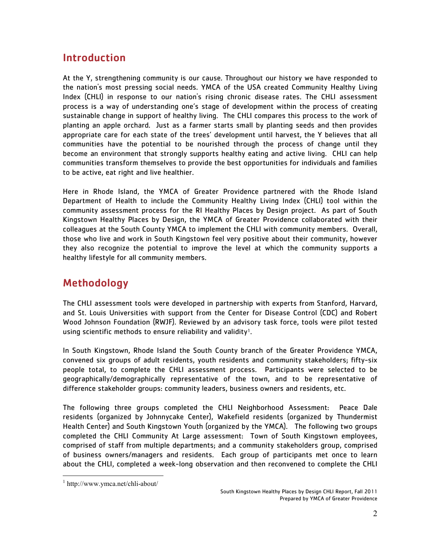# Introduction

At the Y, strengthening community is our cause. Throughout our history we have responded to the nation's most pressing social needs. YMCA of the USA created Community Healthy Living Index (CHLI) in response to our nation's rising chronic disease rates. The CHLI assessment process is a way of understanding one's stage of development within the process of creating sustainable change in support of healthy living. The CHLI compares this process to the work of planting an apple orchard. Just as a farmer starts small by planting seeds and then provides appropriate care for each state of the trees' development until harvest, the Y believes that all communities have the potential to be nourished through the process of change until they become an environment that strongly supports healthy eating and active living. CHLI can help communities transform themselves to provide the best opportunities for individuals and families to be active, eat right and live healthier.

Here in Rhode Island, the YMCA of Greater Providence partnered with the Rhode Island Department of Health to include the Community Healthy Living Index (CHLI) tool within the community assessment process for the RI Healthy Places by Design project. As part of South Kingstown Healthy Places by Design, the YMCA of Greater Providence collaborated with their colleagues at the South County YMCA to implement the CHLI with community members. Overall, those who live and work in South Kingstown feel very positive about their community, however they also recognize the potential to improve the level at which the community supports a healthy lifestyle for all community members.

# Methodology

The CHLI assessment tools were developed in partnership with experts from Stanford, Harvard, and St. Louis Universities with support from the Center for Disease Control (CDC) and Robert Wood Johnson Foundation (RWJF). Reviewed by an advisory task force, tools were pilot tested using scientific methods to ensure reliability and validity<sup>1</sup>.

In South Kingstown, Rhode Island the South County branch of the Greater Providence YMCA, convened six groups of adult residents, youth residents and community stakeholders; fifty-six people total, to complete the CHLI assessment process. Participants were selected to be geographically/demographically representative of the town, and to be representative of difference stakeholder groups: community leaders, business owners and residents, etc.

The following three groups completed the CHLI Neighborhood Assessment: Peace Dale residents (organized by Johnnycake Center), Wakefield residents (organized by Thundermist Health Center) and South Kingstown Youth (organized by the YMCA). The following two groups completed the CHLI Community At Large assessment: Town of South Kingstown employees, comprised of staff from multiple departments; and a community stakeholders group, comprised of business owners/managers and residents. Each group of participants met once to learn about the CHLI, completed a week-long observation and then reconvened to complete the CHLI

<sup>-</sup>1 http://www.ymca.net/chli-about/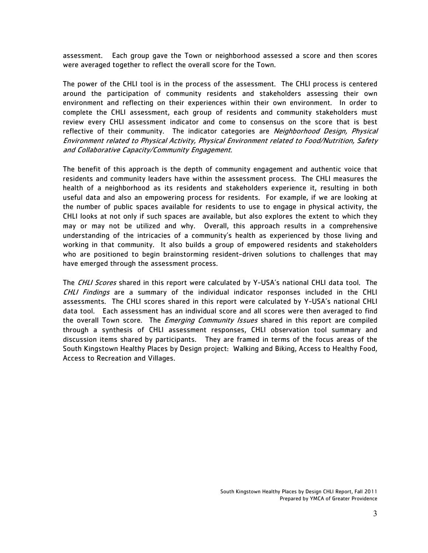assessment. Each group gave the Town or neighborhood assessed a score and then scores were averaged together to reflect the overall score for the Town.

The power of the CHLI tool is in the process of the assessment. The CHLI process is centered around the participation of community residents and stakeholders assessing their own environment and reflecting on their experiences within their own environment. In order to complete the CHLI assessment, each group of residents and community stakeholders must review every CHLI assessment indicator and come to consensus on the score that is best reflective of their community. The indicator categories are Neighborhood Design, Physical Environment related to Physical Activity, Physical Environment related to Food/Nutrition, Safety and Collaborative Capacity/Community Engagement.

The benefit of this approach is the depth of community engagement and authentic voice that residents and community leaders have within the assessment process. The CHLI measures the health of a neighborhood as its residents and stakeholders experience it, resulting in both useful data and also an empowering process for residents. For example, if we are looking at the number of public spaces available for residents to use to engage in physical activity, the CHLI looks at not only if such spaces are available, but also explores the extent to which they may or may not be utilized and why. Overall, this approach results in a comprehensive understanding of the intricacies of a community's health as experienced by those living and working in that community. It also builds a group of empowered residents and stakeholders who are positioned to begin brainstorming resident-driven solutions to challenges that may have emerged through the assessment process.

The CHLI Scores shared in this report were calculated by Y-USA's national CHLI data tool. The CHLI Findings are a summary of the individual indicator responses included in the CHLI assessments. The CHLI scores shared in this report were calculated by Y-USA's national CHLI data tool. Each assessment has an individual score and all scores were then averaged to find the overall Town score. The *Emerging Community Issues* shared in this report are compiled through a synthesis of CHLI assessment responses, CHLI observation tool summary and discussion items shared by participants. They are framed in terms of the focus areas of the South Kingstown Healthy Places by Design project: Walking and Biking, Access to Healthy Food, Access to Recreation and Villages.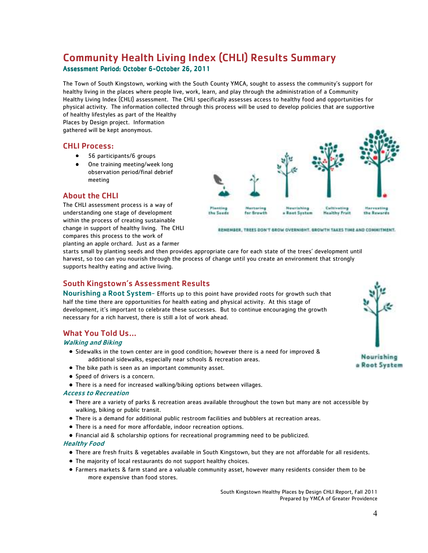# Community Health Living Index (CHLI) Results Summary

#### Assessment Period: October 6-October 26, 2011

The Town of South Kingstown, working with the South County YMCA, sought to assess the community's support for healthy living in the places where people live, work, learn, and play through the administration of a Community Healthy Living Index (CHLI) assessment. The CHLI specifically assesses access to healthy food and opportunities for physical activity. The information collected through this process will be used to develop policies that are supportive of healthy lifestyles as part of the Healthy

Places by Design project. Information gathered will be kept anonymous.

### CHLI Process:

- 56 participants/6 groups
- One training meeting/week long observation period/final debrief meeting

#### About the CHLI

The CHLI assessment process is a way of understanding one stage of development within the process of creating sustainable change in support of healthy living. The CHLI compares this process to the work of planting an apple orchard. Just as a farmer



REMEMBER, TREES DON'T GROW OVERNIGHT. GROWTH TAKES TIME AND COMMITMENT.

starts small by planting seeds and then provides appropriate care for each state of the trees' development until harvest, so too can you nourish through the process of change until you create an environment that strongly supports healthy eating and active living.

#### South Kingstown's Assessment Results

Nourishing a Root System- Efforts up to this point have provided roots for growth such that half the time there are opportunities for health eating and physical activity. At this stage of development, it's important to celebrate these successes. But to continue encouraging the growth necessary for a rich harvest, there is still a lot of work ahead.

#### What You Told Us…

#### Walking and Biking

- Sidewalks in the town center are in good condition; however there is a need for improved & additional sidewalks, especially near schools & recreation areas.
- The bike path is seen as an important community asset.
- Speed of drivers is a concern.
- There is a need for increased walking/biking options between villages.

#### Access to Recreation

- There are a variety of parks & recreation areas available throughout the town but many are not accessible by walking, biking or public transit.
- There is a demand for additional public restroom facilities and bubblers at recreation areas.
- There is a need for more affordable, indoor recreation options.
- Financial aid & scholarship options for recreational programming need to be publicized.

#### Healthy Food

- There are fresh fruits & vegetables available in South Kingstown, but they are not affordable for all residents.
- The majority of local restaurants do not support healthy choices.
- Farmers markets & farm stand are a valuable community asset, however many residents consider them to be more expensive than food stores.

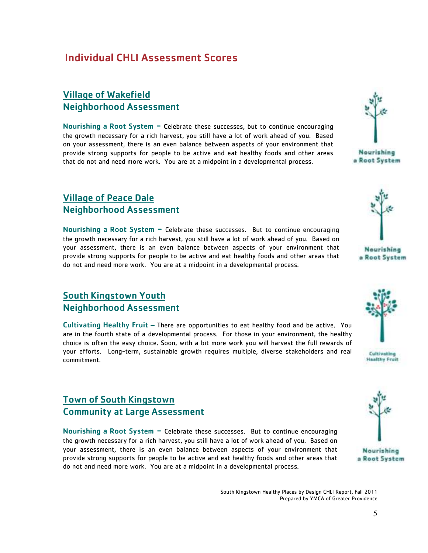# Individual CHLI Assessment Scores

### Village of Wakefield Neighborhood Assessment

Nourishing a Root System  $-$  Celebrate these successes, but to continue encouraging the growth necessary for a rich harvest, you still have a lot of work ahead of you. Based on your assessment, there is an even balance between aspects of your environment that provide strong supports for people to be active and eat healthy foods and other areas that do not and need more work. You are at a midpoint in a developmental process.

### Village of Peace Dale Neighborhood Assessment

Nourishing a Root System - Celebrate these successes. But to continue encouraging the growth necessary for a rich harvest, you still have a lot of work ahead of you. Based on your assessment, there is an even balance between aspects of your environment that provide strong supports for people to be active and eat healthy foods and other areas that do not and need more work. You are at a midpoint in a developmental process.

### South Kingstown Youth Neighborhood Assessment

Cultivating Healthy Fruit – There are opportunities to eat healthy food and be active. You are in the fourth state of a developmental process. For those in your environment, the healthy choice is often the easy choice. Soon, with a bit more work you will harvest the full rewards of your efforts. Long-term, sustainable growth requires multiple, diverse stakeholders and real commitment.

### Town of South Kingstown Community at Large Assessment

Nourishing a Root System  $-$  Celebrate these successes. But to continue encouraging the growth necessary for a rich harvest, you still have a lot of work ahead of you. Based on your assessment, there is an even balance between aspects of your environment that provide strong supports for people to be active and eat healthy foods and other areas that do not and need more work. You are at a midpoint in a developmental process.

Nourishing a Root System





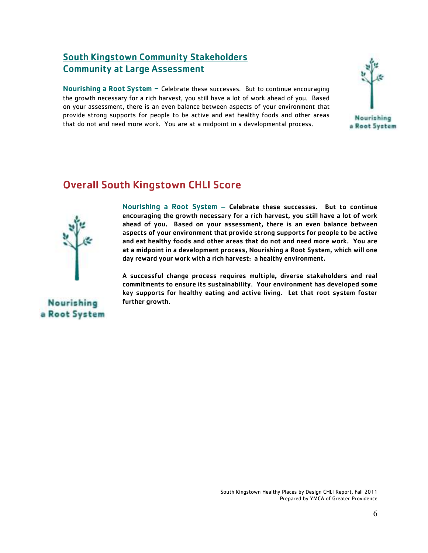## South Kingstown Community Stakeholders Community at Large Assessment

Nourishing a Root System - Celebrate these successes. But to continue encouraging the growth necessary for a rich harvest, you still have a lot of work ahead of you. Based on your assessment, there is an even balance between aspects of your environment that provide strong supports for people to be active and eat healthy foods and other areas that do not and need more work. You are at a midpoint in a developmental process.



# Overall South Kingstown CHLI Score



Nourishing a Root System – Celebrate these successes. But to continue encouraging the growth necessary for a rich harvest, you still have a lot of work ahead of you. Based on your assessment, there is an even balance between aspects of your environment that provide strong supports for people to be active and eat healthy foods and other areas that do not and need more work. You are at a midpoint in a development process, Nourishing a Root System, which will one day reward your work with a rich harvest: a healthy environment.

A successful change process requires multiple, diverse stakeholders and real commitments to ensure its sustainability. Your environment has developed some key supports for healthy eating and active living. Let that root system foster further growth.

**Nourishing** a Root System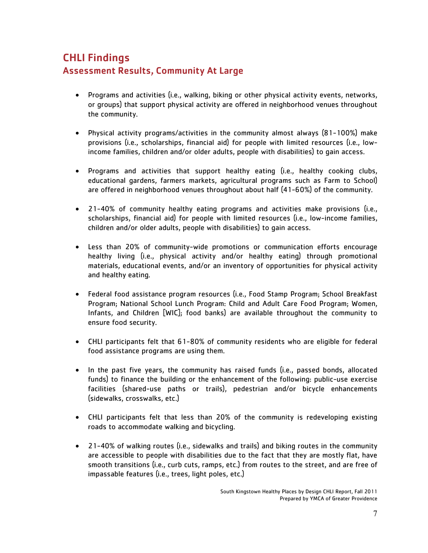# CHLI Findings Assessment Results, Community At Large

- Programs and activities (i.e., walking, biking or other physical activity events, networks, or groups) that support physical activity are offered in neighborhood venues throughout the community.
- Physical activity programs/activities in the community almost always (81-100%) make provisions (i.e., scholarships, financial aid) for people with limited resources (i.e., lowincome families, children and/or older adults, people with disabilities) to gain access.
- Programs and activities that support healthy eating (i.e., healthy cooking clubs, educational gardens, farmers markets, agricultural programs such as Farm to School) are offered in neighborhood venues throughout about half (41-60%) of the community.
- 21-40% of community healthy eating programs and activities make provisions (i.e., scholarships, financial aid) for people with limited resources (i.e., low-income families, children and/or older adults, people with disabilities) to gain access.
- Less than 20% of community-wide promotions or communication efforts encourage healthy living (i.e., physical activity and/or healthy eating) through promotional materials, educational events, and/or an inventory of opportunities for physical activity and healthy eating.
- Federal food assistance program resources (i.e., Food Stamp Program; School Breakfast Program; National School Lunch Program: Child and Adult Care Food Program; Women, Infants, and Children [WIC]; food banks) are available throughout the community to ensure food security.
- CHLI participants felt that 61-80% of community residents who are eligible for federal food assistance programs are using them.
- In the past five years, the community has raised funds (i.e., passed bonds, allocated funds) to finance the building or the enhancement of the following: public-use exercise facilities (shared-use paths or trails), pedestrian and/or bicycle enhancements (sidewalks, crosswalks, etc.)
- CHLI participants felt that less than 20% of the community is redeveloping existing roads to accommodate walking and bicycling.
- 21-40% of walking routes (i.e., sidewalks and trails) and biking routes in the community are accessible to people with disabilities due to the fact that they are mostly flat, have smooth transitions (i.e., curb cuts, ramps, etc.) from routes to the street, and are free of impassable features (i.e., trees, light poles, etc.)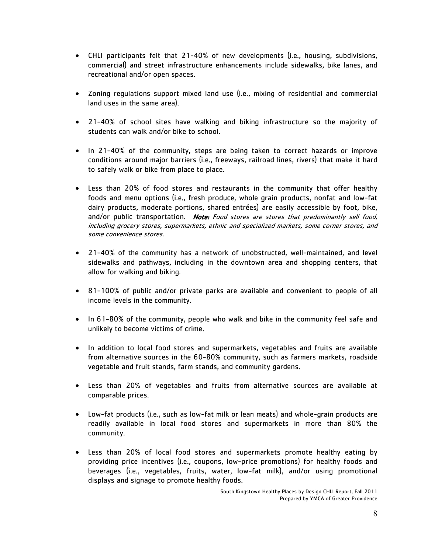- CHLI participants felt that 21-40% of new developments (i.e., housing, subdivisions, commercial) and street infrastructure enhancements include sidewalks, bike lanes, and recreational and/or open spaces.
- Zoning regulations support mixed land use (i.e., mixing of residential and commercial land uses in the same area).
- 21-40% of school sites have walking and biking infrastructure so the majority of students can walk and/or bike to school.
- In 21-40% of the community, steps are being taken to correct hazards or improve conditions around major barriers (i.e., freeways, railroad lines, rivers) that make it hard to safely walk or bike from place to place.
- Less than 20% of food stores and restaurants in the community that offer healthy foods and menu options (i.e., fresh produce, whole grain products, nonfat and low-fat dairy products, moderate portions, shared entrées) are easily accessible by foot, bike, and/or public transportation. Note: Food stores are stores that predominantly sell food, including grocery stores, supermarkets, ethnic and specialized markets, some corner stores, and some convenience stores.
- 21-40% of the community has a network of unobstructed, well-maintained, and level sidewalks and pathways, including in the downtown area and shopping centers, that allow for walking and biking.
- 81-100% of public and/or private parks are available and convenient to people of all income levels in the community.
- In 61-80% of the community, people who walk and bike in the community feel safe and unlikely to become victims of crime.
- In addition to local food stores and supermarkets, vegetables and fruits are available from alternative sources in the 60-80% community, such as farmers markets, roadside vegetable and fruit stands, farm stands, and community gardens.
- Less than 20% of vegetables and fruits from alternative sources are available at comparable prices.
- Low-fat products (i.e., such as low-fat milk or lean meats) and whole-grain products are readily available in local food stores and supermarkets in more than 80% the community.
- Less than 20% of local food stores and supermarkets promote healthy eating by providing price incentives (i.e., coupons, low-price promotions) for healthy foods and beverages (i.e., vegetables, fruits, water, low-fat milk), and/or using promotional displays and signage to promote healthy foods.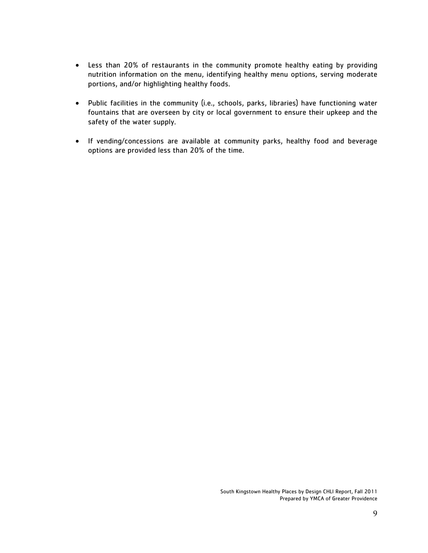- Less than 20% of restaurants in the community promote healthy eating by providing nutrition information on the menu, identifying healthy menu options, serving moderate portions, and/or highlighting healthy foods.
- Public facilities in the community (i.e., schools, parks, libraries) have functioning water fountains that are overseen by city or local government to ensure their upkeep and the safety of the water supply.
- If vending/concessions are available at community parks, healthy food and beverage options are provided less than 20% of the time.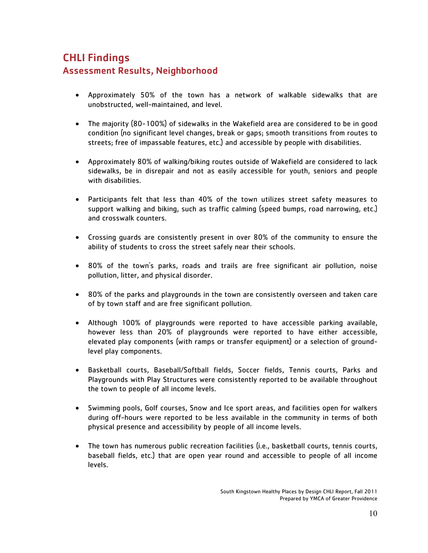# CHLI Findings Assessment Results, Neighborhood

- Approximately 50% of the town has a network of walkable sidewalks that are unobstructed, well-maintained, and level.
- The majority (80-100%) of sidewalks in the Wakefield area are considered to be in good condition (no significant level changes, break or gaps; smooth transitions from routes to streets; free of impassable features, etc.) and accessible by people with disabilities.
- Approximately 80% of walking/biking routes outside of Wakefield are considered to lack sidewalks, be in disrepair and not as easily accessible for youth, seniors and people with disabilities.
- Participants felt that less than 40% of the town utilizes street safety measures to support walking and biking, such as traffic calming (speed bumps, road narrowing, etc.) and crosswalk counters.
- Crossing guards are consistently present in over 80% of the community to ensure the ability of students to cross the street safely near their schools.
- 80% of the town's parks, roads and trails are free significant air pollution, noise pollution, litter, and physical disorder.
- 80% of the parks and playgrounds in the town are consistently overseen and taken care of by town staff and are free significant pollution.
- Although 100% of playgrounds were reported to have accessible parking available, however less than 20% of playgrounds were reported to have either accessible, elevated play components (with ramps or transfer equipment) or a selection of groundlevel play components.
- Basketball courts, Baseball/Softball fields, Soccer fields, Tennis courts, Parks and Playgrounds with Play Structures were consistently reported to be available throughout the town to people of all income levels.
- Swimming pools, Golf courses, Snow and Ice sport areas, and facilities open for walkers during off-hours were reported to be less available in the community in terms of both physical presence and accessibility by people of all income levels.
- The town has numerous public recreation facilities (i.e., basketball courts, tennis courts, baseball fields, etc.) that are open year round and accessible to people of all income levels.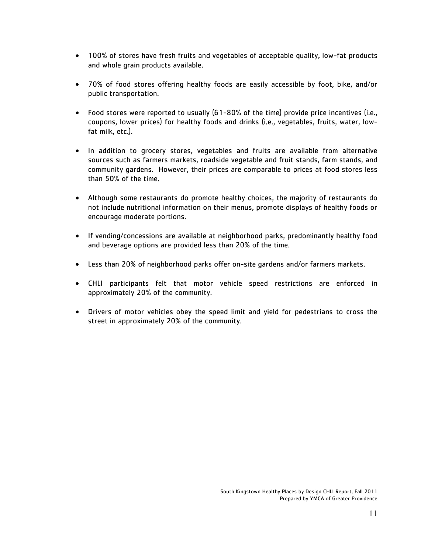- 100% of stores have fresh fruits and vegetables of acceptable quality, low-fat products and whole grain products available.
- 70% of food stores offering healthy foods are easily accessible by foot, bike, and/or public transportation.
- Food stores were reported to usually (61-80% of the time) provide price incentives (i.e., coupons, lower prices) for healthy foods and drinks (i.e., vegetables, fruits, water, lowfat milk, etc.).
- In addition to grocery stores, vegetables and fruits are available from alternative sources such as farmers markets, roadside vegetable and fruit stands, farm stands, and community gardens. However, their prices are comparable to prices at food stores less than 50% of the time.
- Although some restaurants do promote healthy choices, the majority of restaurants do not include nutritional information on their menus, promote displays of healthy foods or encourage moderate portions.
- If vending/concessions are available at neighborhood parks, predominantly healthy food and beverage options are provided less than 20% of the time.
- Less than 20% of neighborhood parks offer on-site gardens and/or farmers markets.
- CHLI participants felt that motor vehicle speed restrictions are enforced in approximately 20% of the community.
- Drivers of motor vehicles obey the speed limit and yield for pedestrians to cross the street in approximately 20% of the community.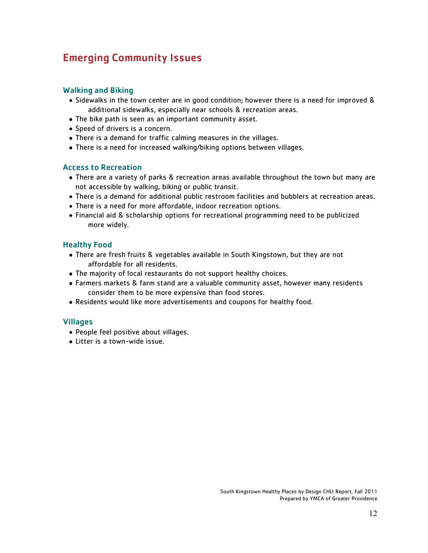# Emerging Community Issues

#### Walking and Biking

- Sidewalks in the town center are in good condition; however there is a need for improved & additional sidewalks, especially near schools & recreation areas.
- The bike path is seen as an important community asset.
- Speed of drivers is a concern.
- There is a demand for traffic calming measures in the villages.
- There is a need for increased walking/biking options between villages.

#### Access to Recreation

- There are a variety of parks & recreation areas available throughout the town but many are not accessible by walking, biking or public transit.
- There is a demand for additional public restroom facilities and bubblers at recreation areas.
- There is a need for more affordable, indoor recreation options.
- Financial aid & scholarship options for recreational programming need to be publicized more widely.

#### Healthy Food

- There are fresh fruits & vegetables available in South Kingstown, but they are not affordable for all residents.
- The majority of local restaurants do not support healthy choices.
- Farmers markets & farm stand are a valuable community asset, however many residents consider them to be more expensive than food stores.
- Residents would like more advertisements and coupons for healthy food.

#### Villages

- People feel positive about villages.
- Litter is a town-wide issue.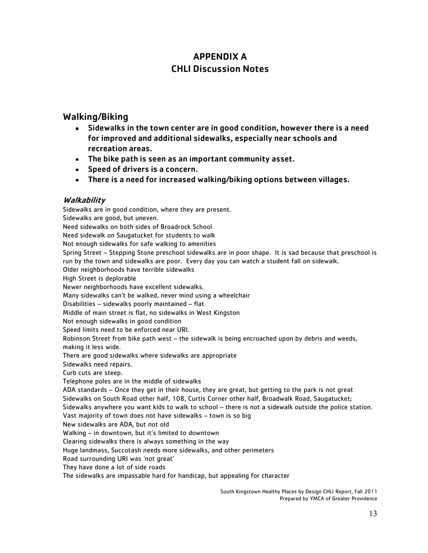# APPENDIX A CHLI Discussion Notes

### Walking/Biking

- Sidewalks in the town center are in good condition, however there is a need for improved and additional sidewalks, especially near schools and recreation areas.
- The bike path is seen as an important community asset.
- Speed of drivers is a concern.
- There is a need for increased walking/biking options between villages.

#### Walkability

Sidewalks are in good condition, where they are present. Sidewalks are good, but uneven. Need sidewalks on both sides of Broadrock School Need sidewalk on Saugatucket for students to walk Not enough sidewalks for safe walking to amenities Spring Street – Stepping Stone preschool sidewalks are in poor shape. It is sad because that preschool is run by the town and sidewalks are poor. Every day you can watch a student fall on sidewalk. Older neighborhoods have terrible sidewalks High Street is deplorable Newer neighborhoods have excellent sidewalks. Many sidewalks can't be walked, never mind using a wheelchair Disabilities – sidewalks poorly maintained – flat Middle of main street is flat, no sidewalks in West Kingston Not enough sidewalks in good condition Speed limits need to be enforced near URI. Robinson Street from bike path west – the sidewalk is being encroached upon by debris and weeds, making it less wide. There are good sidewalks where sidewalks are appropriate Sidewalks need repairs. Curb cuts are steep. Telephone poles are in the middle of sidewalks ADA standards – Once they get in their house, they are great, but getting to the park is not great Sidewalks on South Road other half, 108, Curtis Corner other half, Broadwalk Road, Saugatucket; Sidewalks anywhere you want kids to walk to school – there is not a sidewalk outside the police station. Vast majority of town does not have sidewalks – town is so big New sidewalks are ADA, but not old Walking – in downtown, but it's limited to downtown Clearing sidewalks there is always something in the way Huge landmass, Succotash needs more sidewalks, and other perimeters Road surrounding URI was 'not great' They have done a lot of side roads The sidewalks are impassable hard for handicap, but appealing for character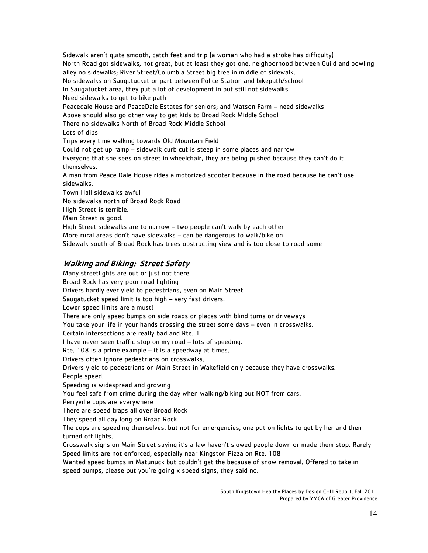Sidewalk aren't quite smooth, catch feet and trip (a woman who had a stroke has difficulty) North Road got sidewalks, not great, but at least they got one, neighborhood between Guild and bowling alley no sidewalks; River Street/Columbia Street big tree in middle of sidewalk. No sidewalks on Saugatucket or part between Police Station and bikepath/school In Saugatucket area, they put a lot of development in but still not sidewalks Need sidewalks to get to bike path Peacedale House and PeaceDale Estates for seniors; and Watson Farm – need sidewalks Above should also go other way to get kids to Broad Rock Middle School There no sidewalks North of Broad Rock Middle School Lots of dips Trips every time walking towards Old Mountain Field Could not get up ramp – sidewalk curb cut is steep in some places and narrow Everyone that she sees on street in wheelchair, they are being pushed because they can't do it themselves. A man from Peace Dale House rides a motorized scooter because in the road because he can't use sidewalks. Town Hall sidewalks awful No sidewalks north of Broad Rock Road High Street is terrible. Main Street is good. High Street sidewalks are to narrow – two people can't walk by each other More rural areas don't have sidewalks – can be dangerous to walk/bike on Sidewalk south of Broad Rock has trees obstructing view and is too close to road some

#### Walking and Biking: Street Safety

Many streetlights are out or just not there Broad Rock has very poor road lighting Drivers hardly ever yield to pedestrians, even on Main Street Saugatucket speed limit is too high – very fast drivers. Lower speed limits are a must! There are only speed bumps on side roads or places with blind turns or driveways You take your life in your hands crossing the street some days – even in crosswalks. Certain intersections are really bad and Rte. 1 I have never seen traffic stop on my road – lots of speeding. Rte. 108 is a prime example – it is a speedway at times. Drivers often ignore pedestrians on crosswalks. Drivers yield to pedestrians on Main Street in Wakefield only because they have crosswalks. People speed. Speeding is widespread and growing You feel safe from crime during the day when walking/biking but NOT from cars. Perryville cops are everywhere There are speed traps all over Broad Rock They speed all day long on Broad Rock The cops are speeding themselves, but not for emergencies, one put on lights to get by her and then turned off lights. Crosswalk signs on Main Street saying it's a law haven't slowed people down or made them stop. Rarely Speed limits are not enforced, especially near Kingston Pizza on Rte. 108 Wanted speed bumps in Matunuck but couldn't get the because of snow removal. Offered to take in speed bumps, please put you're going x speed signs, they said no.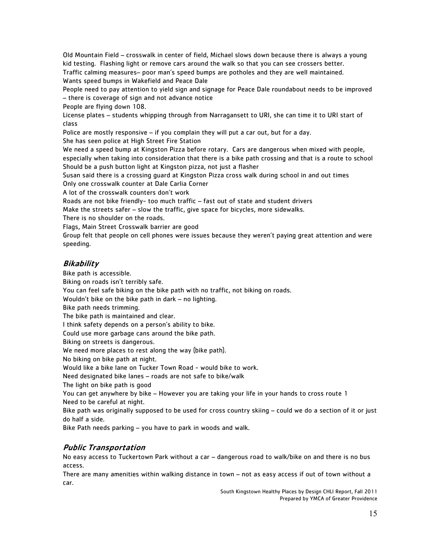Old Mountain Field – crosswalk in center of field, Michael slows down because there is always a young kid testing. Flashing light or remove cars around the walk so that you can see crossers better. Traffic calming measures– poor man's speed bumps are potholes and they are well maintained. Wants speed bumps in Wakefield and Peace Dale

People need to pay attention to yield sign and signage for Peace Dale roundabout needs to be improved – there is coverage of sign and not advance notice

People are flying down 108.

License plates – students whipping through from Narragansett to URI, she can time it to URI start of class

Police are mostly responsive – if you complain they will put a car out, but for a day.

She has seen police at High Street Fire Station

We need a speed bump at Kingston Pizza before rotary. Cars are dangerous when mixed with people, especially when taking into consideration that there is a bike path crossing and that is a route to school Should be a push button light at Kingston pizza, not just a flasher

Susan said there is a crossing guard at Kingston Pizza cross walk during school in and out times Only one crosswalk counter at Dale Carlia Corner

A lot of the crosswalk counters don't work

Roads are not bike friendly- too much traffic – fast out of state and student drivers

Make the streets safer – slow the traffic, give space for bicycles, more sidewalks.

There is no shoulder on the roads.

Flags, Main Street Crosswalk barrier are good

Group felt that people on cell phones were issues because they weren't paying great attention and were speeding.

#### Bikability

Bike path is accessible. Biking on roads isn't terribly safe. You can feel safe biking on the bike path with no traffic, not biking on roads. Wouldn't bike on the bike path in dark – no lighting. Bike path needs trimming. The bike path is maintained and clear. I think safety depends on a person's ability to bike. Could use more garbage cans around the bike path. Biking on streets is dangerous. We need more places to rest along the way (bike path). No biking on bike path at night. Would like a bike lane on Tucker Town Road - would bike to work. Need designated bike lanes – roads are not safe to bike/walk The light on bike path is good You can get anywhere by bike – However you are taking your life in your hands to cross route 1 Need to be careful at night. Bike path was originally supposed to be used for cross country skiing – could we do a section of it or just do half a side.

Bike Path needs parking – you have to park in woods and walk.

### Public Transportation

No easy access to Tuckertown Park without a car – dangerous road to walk/bike on and there is no bus access.

There are many amenities within walking distance in town – not as easy access if out of town without a car.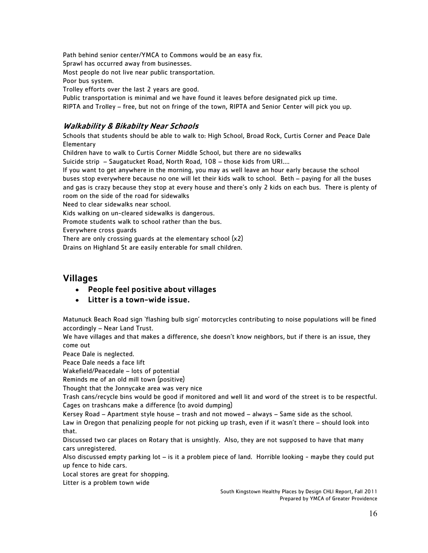Path behind senior center/YMCA to Commons would be an easy fix. Sprawl has occurred away from businesses. Most people do not live near public transportation. Poor bus system.

Trolley efforts over the last 2 years are good.

Public transportation is minimal and we have found it leaves before designated pick up time. RIPTA and Trolley – free, but not on fringe of the town, RIPTA and Senior Center will pick you up.

# Walkability & Bikabilty Near Schools

Schools that students should be able to walk to: High School, Broad Rock, Curtis Corner and Peace Dale Elementary

Children have to walk to Curtis Corner Middle School, but there are no sidewalks

Suicide strip – Saugatucket Road, North Road, 108 – those kids from URI….

If you want to get anywhere in the morning, you may as well leave an hour early because the school buses stop everywhere because no one will let their kids walk to school. Beth – paying for all the buses and gas is crazy because they stop at every house and there's only 2 kids on each bus. There is plenty of room on the side of the road for sidewalks

Need to clear sidewalks near school.

Kids walking on un-cleared sidewalks is dangerous.

Promote students walk to school rather than the bus.

Everywhere cross guards

There are only crossing guards at the elementary school (x2)

Drains on Highland St are easily enterable for small children.

### Villages

- People feel positive about villages
- Litter is a town-wide issue.

Matunuck Beach Road sign 'flashing bulb sign' motorcycles contributing to noise populations will be fined accordingly – Near Land Trust.

We have villages and that makes a difference, she doesn't know neighbors, but if there is an issue, they come out

Peace Dale is neglected.

Peace Dale needs a face lift

Wakefield/Peacedale – lots of potential

Reminds me of an old mill town (positive)

Thought that the Jonnycake area was very nice

Trash cans/recycle bins would be good if monitored and well lit and word of the street is to be respectful. Cages on trashcans make a difference (to avoid dumping)

Kersey Road – Apartment style house – trash and not mowed – always – Same side as the school.

Law in Oregon that penalizing people for not picking up trash, even if it wasn't there – should look into that.

Discussed two car places on Rotary that is unsightly. Also, they are not supposed to have that many cars unregistered.

Also discussed empty parking lot – is it a problem piece of land. Horrible looking - maybe they could put up fence to hide cars.

Local stores are great for shopping.

Litter is a problem town wide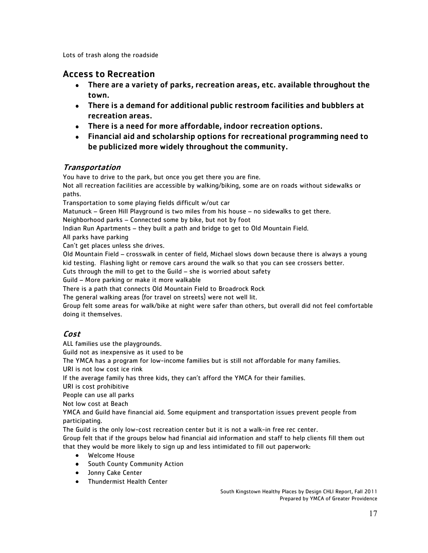Lots of trash along the roadside

### Access to Recreation

- There are a variety of parks, recreation areas, etc. available throughout the town.
- There is a demand for additional public restroom facilities and bubblers at recreation areas.
- There is a need for more affordable, indoor recreation options.
- Financial aid and scholarship options for recreational programming need to be publicized more widely throughout the community.

#### Transportation

You have to drive to the park, but once you get there you are fine.

Not all recreation facilities are accessible by walking/biking, some are on roads without sidewalks or paths.

Transportation to some playing fields difficult w/out car

Matunuck – Green Hill Playground is two miles from his house – no sidewalks to get there.

Neighborhood parks – Connected some by bike, but not by foot

Indian Run Apartments – they built a path and bridge to get to Old Mountain Field.

All parks have parking

Can't get places unless she drives.

Old Mountain Field – crosswalk in center of field, Michael slows down because there is always a young kid testing. Flashing light or remove cars around the walk so that you can see crossers better.

Cuts through the mill to get to the Guild – she is worried about safety

Guild – More parking or make it more walkable

There is a path that connects Old Mountain Field to Broadrock Rock

The general walking areas (for travel on streets) were not well lit.

Group felt some areas for walk/bike at night were safer than others, but overall did not feel comfortable doing it themselves.

### Cost

ALL families use the playgrounds.

Guild not as inexpensive as it used to be

The YMCA has a program for low-income families but is still not affordable for many families.

URI is not low cost ice rink

If the average family has three kids, they can't afford the YMCA for their families.

URI is cost prohibitive

People can use all parks

Not low cost at Beach

YMCA and Guild have financial aid. Some equipment and transportation issues prevent people from participating.

The Guild is the only low-cost recreation center but it is not a walk-in free rec center.

Group felt that if the groups below had financial aid information and staff to help clients fill them out that they would be more likely to sign up and less intimidated to fill out paperwork:

- Welcome House
- South County Community Action
- Jonny Cake Center
- Thundermist Health Center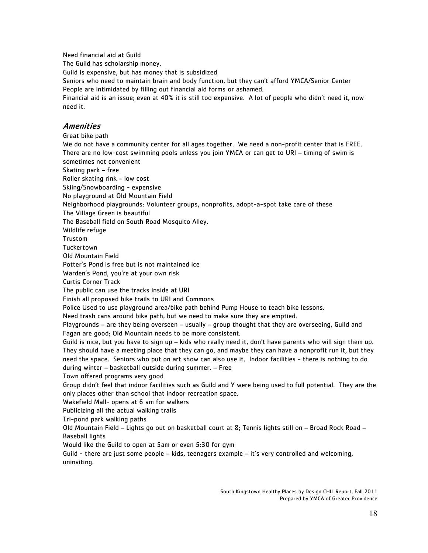Need financial aid at Guild

The Guild has scholarship money.

Guild is expensive, but has money that is subsidized

Seniors who need to maintain brain and body function, but they can't afford YMCA/Senior Center People are intimidated by filling out financial aid forms or ashamed.

Financial aid is an issue; even at 40% it is still too expensive. A lot of people who didn't need it, now need it.

#### **Amenities**

Great bike path

We do not have a community center for all ages together. We need a non-profit center that is FREE. There are no low-cost swimming pools unless you join YMCA or can get to URI – timing of swim is sometimes not convenient Skating park – free

Roller skating rink – low cost

Skiing/Snowboarding - expensive

No playground at Old Mountain Field

Neighborhood playgrounds: Volunteer groups, nonprofits, adopt-a-spot take care of these

The Village Green is beautiful

The Baseball field on South Road Mosquito Alley.

Wildlife refuge

Trustom

Tuckertown

Old Mountain Field

Potter's Pond is free but is not maintained ice

Warden's Pond, you're at your own risk

Curtis Corner Track

The public can use the tracks inside at URI

Finish all proposed bike trails to URI and Commons

Police Used to use playground area/bike path behind Pump House to teach bike lessons.

Need trash cans around bike path, but we need to make sure they are emptied.

Playgrounds – are they being overseen – usually – group thought that they are overseeing, Guild and Fagan are good; Old Mountain needs to be more consistent.

Guild is nice, but you have to sign up – kids who really need it, don't have parents who will sign them up. They should have a meeting place that they can go, and maybe they can have a nonprofit run it, but they need the space. Seniors who put on art show can also use it. Indoor facilities - there is nothing to do during winter – basketball outside during summer. – Free

Town offered programs very good

Group didn't feel that indoor facilities such as Guild and Y were being used to full potential. They are the only places other than school that indoor recreation space.

Wakefield Mall- opens at 6 am for walkers

Publicizing all the actual walking trails

Tri-pond park walking paths

Old Mountain Field – Lights go out on basketball court at 8; Tennis lights still on – Broad Rock Road – Baseball lights

Would like the Guild to open at 5am or even 5:30 for gym

Guild - there are just some people – kids, teenagers example – it's very controlled and welcoming, uninviting.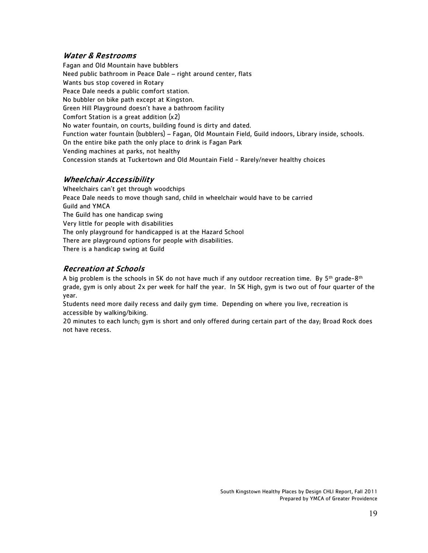#### Water & Restrooms

Fagan and Old Mountain have bubblers Need public bathroom in Peace Dale – right around center, flats Wants bus stop covered in Rotary Peace Dale needs a public comfort station. No bubbler on bike path except at Kingston. Green Hill Playground doesn't have a bathroom facility Comfort Station is a great addition (x2) No water fountain, on courts, building found is dirty and dated. Function water fountain (bubblers) – Fagan, Old Mountain Field, Guild indoors, Library inside, schools. On the entire bike path the only place to drink is Fagan Park Vending machines at parks, not healthy Concession stands at Tuckertown and Old Mountain Field - Rarely/never healthy choices

#### Wheelchair Accessibility

Wheelchairs can't get through woodchips Peace Dale needs to move though sand, child in wheelchair would have to be carried Guild and YMCA The Guild has one handicap swing Very little for people with disabilities The only playground for handicapped is at the Hazard School There are playground options for people with disabilities. There is a handicap swing at Guild

#### Recreation at Schools

A big problem is the schools in SK do not have much if any outdoor recreation time. By  $5<sup>th</sup>$  grade-8<sup>th</sup> grade, gym is only about 2x per week for half the year. In SK High, gym is two out of four quarter of the year.

Students need more daily recess and daily gym time. Depending on where you live, recreation is accessible by walking/biking.

20 minutes to each lunch; gym is short and only offered during certain part of the day; Broad Rock does not have recess.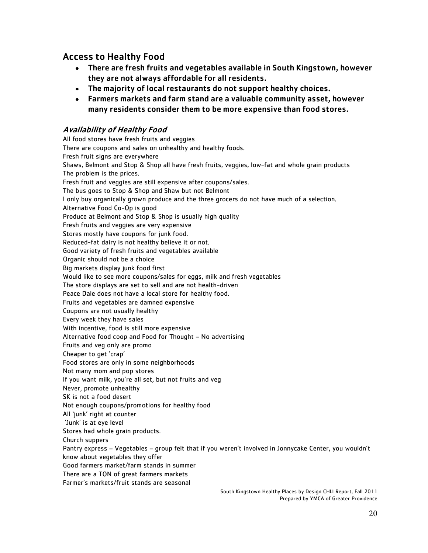### Access to Healthy Food

- There are fresh fruits and vegetables available in South Kingstown, however they are not always affordable for all residents.
- The majority of local restaurants do not support healthy choices.
- Farmers markets and farm stand are a valuable community asset, however many residents consider them to be more expensive than food stores.

#### Availability of Healthy Food

All food stores have fresh fruits and veggies There are coupons and sales on unhealthy and healthy foods. Fresh fruit signs are everywhere Shaws, Belmont and Stop & Shop all have fresh fruits, veggies, low-fat and whole grain products The problem is the prices. Fresh fruit and veggies are still expensive after coupons/sales. The bus goes to Stop & Shop and Shaw but not Belmont I only buy organically grown produce and the three grocers do not have much of a selection. Alternative Food Co-Op is good Produce at Belmont and Stop & Shop is usually high quality Fresh fruits and veggies are very expensive Stores mostly have coupons for junk food. Reduced-fat dairy is not healthy believe it or not. Good variety of fresh fruits and vegetables available Organic should not be a choice Big markets display junk food first Would like to see more coupons/sales for eggs, milk and fresh vegetables The store displays are set to sell and are not health-driven Peace Dale does not have a local store for healthy food. Fruits and vegetables are damned expensive Coupons are not usually healthy Every week they have sales With incentive, food is still more expensive Alternative food coop and Food for Thought – No advertising Fruits and veg only are promo Cheaper to get 'crap' Food stores are only in some neighborhoods Not many mom and pop stores If you want milk, you're all set, but not fruits and veg Never, promote unhealthy SK is not a food desert Not enough coupons/promotions for healthy food All 'junk' right at counter 'Junk' is at eye level Stores had whole grain products. Church suppers Pantry express – Vegetables – group felt that if you weren't involved in Jonnycake Center, you wouldn't know about vegetables they offer Good farmers market/farm stands in summer There are a TON of great farmers markets Farmer's markets/fruit stands are seasonal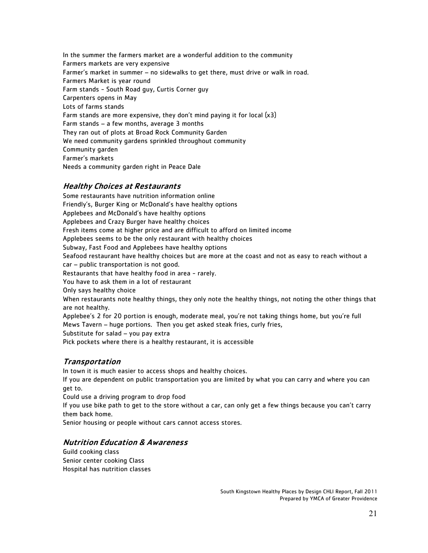In the summer the farmers market are a wonderful addition to the community Farmers markets are very expensive Farmer's market in summer – no sidewalks to get there, must drive or walk in road. Farmers Market is year round Farm stands - South Road guy, Curtis Corner guy Carpenters opens in May Lots of farms stands Farm stands are more expensive, they don't mind paying it for local (x3) Farm stands – a few months, average 3 months They ran out of plots at Broad Rock Community Garden We need community gardens sprinkled throughout community Community garden Farmer's markets Needs a community garden right in Peace Dale

#### Healthy Choices at Restaurants

Some restaurants have nutrition information online Friendly's, Burger King or McDonald's have healthy options Applebees and McDonald's have healthy options Applebees and Crazy Burger have healthy choices Fresh items come at higher price and are difficult to afford on limited income Applebees seems to be the only restaurant with healthy choices Subway, Fast Food and Applebees have healthy options Seafood restaurant have healthy choices but are more at the coast and not as easy to reach without a car – public transportation is not good. Restaurants that have healthy food in area - rarely. You have to ask them in a lot of restaurant Only says healthy choice When restaurants note healthy things, they only note the healthy things, not noting the other things that are not healthy. Applebee's 2 for 20 portion is enough, moderate meal, you're not taking things home, but you're full Mews Tavern – huge portions. Then you get asked steak fries, curly fries, Substitute for salad – you pay extra Pick pockets where there is a healthy restaurant, it is accessible

#### Transportation

In town it is much easier to access shops and healthy choices.

If you are dependent on public transportation you are limited by what you can carry and where you can get to.

Could use a driving program to drop food

If you use bike path to get to the store without a car, can only get a few things because you can't carry them back home.

Senior housing or people without cars cannot access stores.

#### Nutrition Education & Awareness

Guild cooking class Senior center cooking Class Hospital has nutrition classes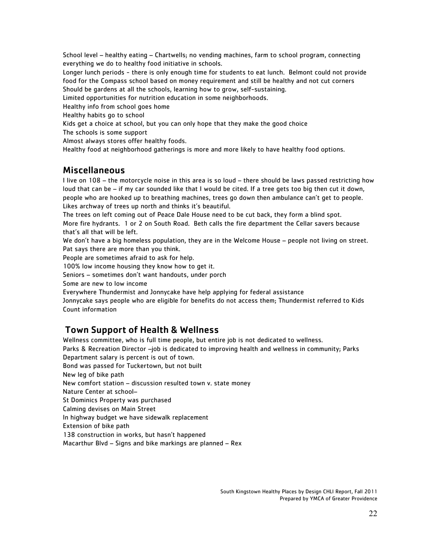School level – healthy eating – Chartwells; no vending machines, farm to school program, connecting everything we do to healthy food initiative in schools.

Longer lunch periods - there is only enough time for students to eat lunch. Belmont could not provide food for the Compass school based on money requirement and still be healthy and not cut corners Should be gardens at all the schools, learning how to grow, self-sustaining.

Limited opportunities for nutrition education in some neighborhoods.

Healthy info from school goes home

Healthy habits go to school

Kids get a choice at school, but you can only hope that they make the good choice

The schools is some support

Almost always stores offer healthy foods.

Healthy food at neighborhood gatherings is more and more likely to have healthy food options.

### Miscellaneous

I live on 108 – the motorcycle noise in this area is so loud – there should be laws passed restricting how loud that can be – if my car sounded like that I would be cited. If a tree gets too big then cut it down, people who are hooked up to breathing machines, trees go down then ambulance can't get to people. Likes archway of trees up north and thinks it's beautiful.

The trees on left coming out of Peace Dale House need to be cut back, they form a blind spot. More fire hydrants. 1 or 2 on South Road. Beth calls the fire department the Cellar savers because that's all that will be left.

We don't have a big homeless population, they are in the Welcome House – people not living on street. Pat says there are more than you think.

People are sometimes afraid to ask for help.

100% low income housing they know how to get it.

Seniors – sometimes don't want handouts, under porch

Some are new to low income

Everywhere Thundermist and Jonnycake have help applying for federal assistance

Jonnycake says people who are eligible for benefits do not access them; Thundermist referred to Kids Count information

### Town Support of Health & Wellness

Wellness committee, who is full time people, but entire job is not dedicated to wellness.

Parks & Recreation Director –job is dedicated to improving health and wellness in community; Parks Department salary is percent is out of town.

Bond was passed for Tuckertown, but not built

New leg of bike path

New comfort station – discussion resulted town v. state money

Nature Center at school–

St Dominics Property was purchased

Calming devises on Main Street

In highway budget we have sidewalk replacement

Extension of bike path

138 construction in works, but hasn't happened

Macarthur Blvd – Signs and bike markings are planned – Rex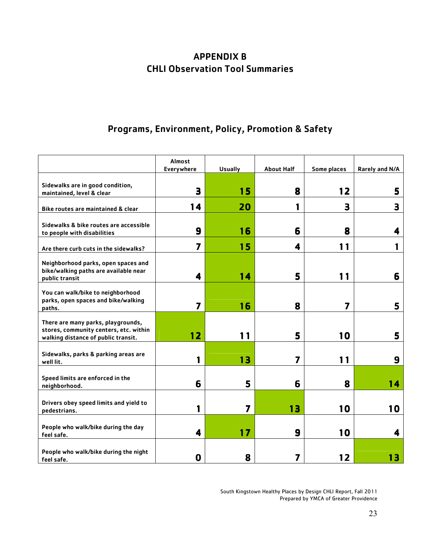# APPENDIX B CHLI Observation Tool Summaries

# Programs, Environment, Policy, Promotion & Safety

|                                                                                                                     | Almost<br>Everywhere    | <b>Usually</b> | <b>About Half</b> | Some places             | Rarely and N/A |
|---------------------------------------------------------------------------------------------------------------------|-------------------------|----------------|-------------------|-------------------------|----------------|
| Sidewalks are in good condition,<br>maintained, level & clear                                                       | 3                       | 15             | 8                 | 12                      | 5              |
| Bike routes are maintained & clear                                                                                  | 14                      | 20             |                   | 3                       | 3              |
| Sidewalks & bike routes are accessible<br>to people with disabilities                                               | 9                       | 16             | 6                 | 8                       | 4              |
| Are there curb cuts in the sidewalks?                                                                               | 7                       | 15             | 4                 | 11                      |                |
| Neighborhood parks, open spaces and<br>bike/walking paths are available near<br>public transit                      | 4                       | 14             | 5                 | 11                      | 6              |
| You can walk/bike to neighborhood<br>parks, open spaces and bike/walking<br>paths.                                  | $\overline{\mathbf{z}}$ | 16             | 8                 | $\overline{\mathbf{z}}$ | 5              |
| There are many parks, playgrounds,<br>stores, community centers, etc. within<br>walking distance of public transit. | 12                      | 11             | 5                 | 10                      | 5              |
| Sidewalks, parks & parking areas are<br>well lit.                                                                   | 1                       | 13             | 7                 | 11                      | 9              |
| Speed limits are enforced in the<br>neighborhood.                                                                   | 6                       | 5              | 6                 | 8                       | 14             |
| Drivers obey speed limits and yield to<br>pedestrians.                                                              | 1                       | 7              | 13                | 10                      | 10             |
| People who walk/bike during the day<br>feel safe.                                                                   | 4                       | 17             | 9                 | 10                      | 4              |
| People who walk/bike during the night<br>feel safe.                                                                 | 0                       | 8              | 7                 | 12                      | 13             |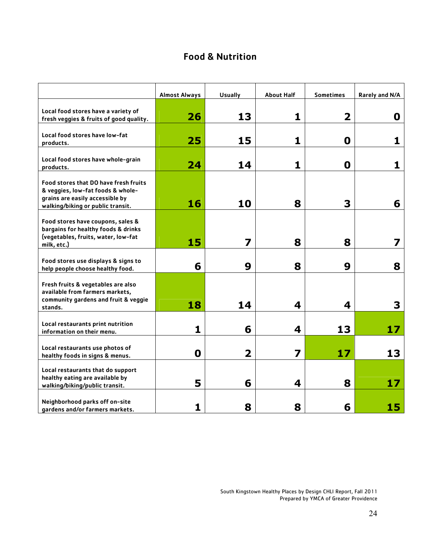### Food & Nutrition

|                                                                                                                                                           | <b>Almost Always</b> | <b>Usually</b>          | <b>About Half</b> | <b>Sometimes</b> | Rarely and N/A |
|-----------------------------------------------------------------------------------------------------------------------------------------------------------|----------------------|-------------------------|-------------------|------------------|----------------|
| Local food stores have a variety of<br>fresh veggies & fruits of good quality.                                                                            | 26                   | 13                      | 1                 | 2                | 0              |
| Local food stores have low-fat<br>products.                                                                                                               | 25                   | 15                      | 1                 | 0                | 1              |
| Local food stores have whole-grain<br>products.                                                                                                           | 24                   | 14                      | 1                 | 0                | 1              |
| <b>Food stores that DO have fresh fruits</b><br>& veggies, low-fat foods & whole-<br>grains are easily accessible by<br>walking/biking or public transit. | 16                   | 10                      | 8                 | 3                | 6              |
| Food stores have coupons, sales &<br>bargains for healthy foods & drinks<br>(vegetables, fruits, water, low-fat<br>milk, etc.)                            | 15                   | 7                       | 8                 | 8                |                |
| Food stores use displays & signs to<br>help people choose healthy food.                                                                                   | 6                    | 9                       | 8                 | 9                | 8              |
| Fresh fruits & vegetables are also<br>available from farmers markets,<br>community gardens and fruit & veggie<br>stands.                                  | 18                   | 14                      | 4                 | 4                | 3              |
| Local restaurants print nutrition<br>information on their menu.                                                                                           | 1                    | 6                       | 4                 | 13               | 17             |
| Local restaurants use photos of<br>healthy foods in signs & menus.                                                                                        | 0                    | $\overline{\mathbf{2}}$ | 7                 | 17               | 13             |
| Local restaurants that do support<br>healthy eating are available by<br>walking/biking/public transit.                                                    | 5                    | 6                       | 4                 | 8                | 17             |
| Neighborhood parks off on-site<br>gardens and/or farmers markets.                                                                                         | 1                    | 8                       | 8                 | 6                | 15             |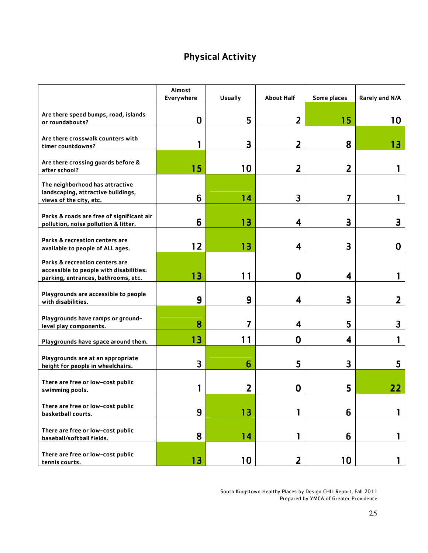# Physical Activity

|                                                                                                                  | <b>Almost</b><br>Everywhere | <b>Usually</b>  | <b>About Half</b> | Some places     | Rarely and N/A |
|------------------------------------------------------------------------------------------------------------------|-----------------------------|-----------------|-------------------|-----------------|----------------|
| Are there speed bumps, road, islands<br>or roundabouts?                                                          | 0                           | 5               | $\overline{2}$    | 15              | 10             |
| Are there crosswalk counters with<br>timer countdowns?                                                           |                             | 3               | 2                 | 8               | 13             |
| Are there crossing guards before &<br>after school?                                                              | 15                          | 10              | 2                 | 2               |                |
| The neighborhood has attractive<br>landscaping, attractive buildings,<br>views of the city, etc.                 | 6                           | 14              | 3                 | 7               |                |
| Parks & roads are free of significant air<br>pollution, noise pollution & litter.                                | 6                           | 13              | 4                 | 3               | З              |
| Parks & recreation centers are<br>available to people of ALL ages.                                               | 12                          | 13              | 4                 | 3               | 0              |
| Parks & recreation centers are<br>accessible to people with disabilities:<br>parking, entrances, bathrooms, etc. | 13                          | 11              | 0                 | 4               |                |
| Playgrounds are accessible to people<br>with disabilities.                                                       | 9                           | 9               | 4                 | 3               | 2              |
| Playgrounds have ramps or ground-<br>level play components.                                                      | 8                           |                 | 4                 | 5               | З              |
| Playgrounds have space around them.                                                                              | 13                          | 11              | $\bf{0}$          | 4               |                |
| Playgrounds are at an appropriate<br>height for people in wheelchairs.                                           | 3                           | 6               | 5                 | З               | 5              |
| There are free or low-cost public<br>swimming pools.                                                             |                             | 2               | 0                 | 5               | 22             |
| There are free or low-cost public<br>basketball courts.                                                          | 9                           | 13              | 1                 | 6               |                |
| There are free or low-cost public<br>baseball/softball fields.                                                   | 8                           | 14              | 1                 | 6               |                |
| There are free or low-cost public<br>tennis courts.                                                              | 13                          | 10 <sub>o</sub> | $\overline{2}$    | 10 <sub>1</sub> |                |